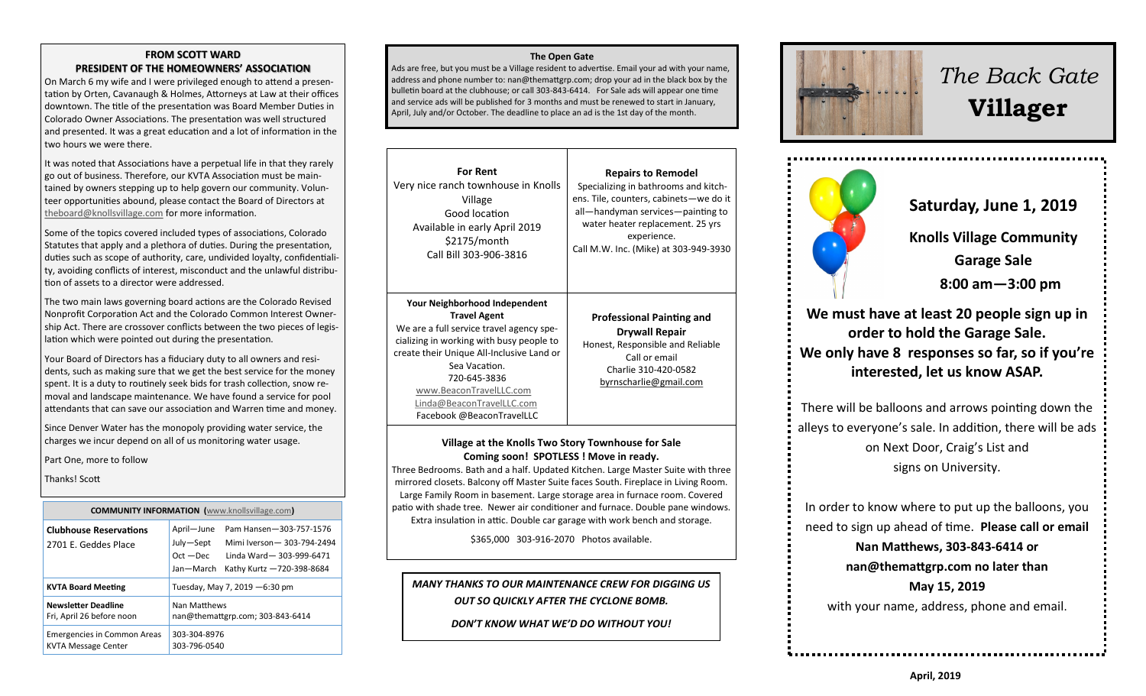#### **FROM SCOTT WARD PRESIDENT OF THE HOMEOWNERS' ASSOCIATION**

On March 6 my wife and I were privileged enough to attend a presentation by Orten, Cavanaugh & Holmes, Attorneys at Law at their offices downtown. The title of the presentation was Board Member Duties in Colorado Owner Associations. The presentation was well structured and presented. It was a great education and a lot of information in the two hours we were there.

It was noted that Associations have a perpetual life in that they rarely go out of business. Therefore, our KVTA Association must be maintained by owners stepping up to help govern our community. Volunteer opportunities abound, please contact the Board of Directors at [theboard@knollsvillage.com](mailto:board@knollsvillage.com) for more information.

Some of the topics covered included types of associations, Colorado Statutes that apply and a plethora of duties. During the presentation, duties such as scope of authority, care, undivided loyalty, confidentiality, avoiding conflicts of interest, misconduct and the unlawful distribution of assets to a director were addressed.

The two main laws governing board actions are the Colorado Revised Nonprofit Corporation Act and the Colorado Common Interest Ownership Act. There are crossover conflicts between the two pieces of legislation which were pointed out during the presentation.

Your Board of Directors has a fiduciary duty to all owners and residents, such as making sure that we get the best service for the money spent. It is a duty to routinely seek bids for trash collection, snow removal and landscape maintenance. We have found a service for pool attendants that can save our association and Warren time and money.

Since Denver Water has the monopoly providing water service, the charges we incur depend on all of us monitoring water usage.

Part One, more to follow

Thanks! Scott

**COMMUNITY INFORMATION (**[www.knollsvillage.com](http://www.knollsvillage.com)**) Clubhouse Reservations**  2701 E. Geddes Place April—June Pam Hansen—303-757-1576 July—Sept Mimi Iverson— 303-794-2494 Oct —Dec Linda Ward— 303-999-6471 Jan—March Kathy Kurtz —720-398-8684 **KVTA Board Meeting Tuesday, May 7, 2019 -6:30 pm Newsletter Deadline** Fri, April 26 before noon Nan Matthews nan@themattgrp.com; 303-843-6414 Emergencies in Common Areas KVTA Message Center 303-304-8976 303-796-0540

#### **The Open Gate**

Ads are free, but you must be a Village resident to advertise. Email your ad with your name, address and phone number to: nan@themattgrp.com; drop your ad in the black box by the bulletin board at the clubhouse; or call 303-843-6414. For Sale ads will appear one time and service ads will be published for 3 months and must be renewed to start in January, April, July and/or October. The deadline to place an ad is the 1st day of the month.

| <b>For Rent</b>                                                                                                                                                                                                                                                                                                 | <b>Repairs to Remodel</b>                                                                                                                                        |
|-----------------------------------------------------------------------------------------------------------------------------------------------------------------------------------------------------------------------------------------------------------------------------------------------------------------|------------------------------------------------------------------------------------------------------------------------------------------------------------------|
| Very nice ranch townhouse in Knolls                                                                                                                                                                                                                                                                             | Specializing in bathrooms and kitch-                                                                                                                             |
| Village                                                                                                                                                                                                                                                                                                         | ens. Tile, counters, cabinets-we do it                                                                                                                           |
| Good location                                                                                                                                                                                                                                                                                                   | all-handyman services-painting to                                                                                                                                |
| Available in early April 2019                                                                                                                                                                                                                                                                                   | water heater replacement. 25 yrs                                                                                                                                 |
| \$2175/month                                                                                                                                                                                                                                                                                                    | experience.                                                                                                                                                      |
| Call Bill 303-906-3816                                                                                                                                                                                                                                                                                          | Call M.W. Inc. (Mike) at 303-949-3930                                                                                                                            |
| Your Neighborhood Independent<br><b>Travel Agent</b><br>We are a full service travel agency spe-<br>cializing in working with busy people to<br>create their Unique All-Inclusive Land or<br>Sea Vacation.<br>720-645-3836<br>www.BeaconTravelLLC.com<br>Linda@BeaconTravelLLC.com<br>Facebook @BeaconTravelLLC | <b>Professional Painting and</b><br><b>Drywall Repair</b><br>Honest, Responsible and Reliable<br>Call or email<br>Charlie 310-420-0582<br>byrnscharlie@gmail.com |

## **Village at the Knolls Two Story Townhouse for Sale Coming soon! SPOTLESS ! Move in ready.**

Three Bedrooms. Bath and a half. Updated Kitchen. Large Master Suite with three mirrored closets. Balcony off Master Suite faces South. Fireplace in Living Room. Large Family Room in basement. Large storage area in furnace room. Covered patio with shade tree. Newer air conditioner and furnace. Double pane windows. Extra insulation in attic. Double car garage with work bench and storage.

\$365,000 303-916-2070 Photos available.

# *MANY THANKS TO OUR MAINTENANCE CREW FOR DIGGING US OUT SO QUICKLY AFTER THE CYCLONE BOMB.*

*DON'T KNOW WHAT WE'D DO WITHOUT YOU!*



# *The Back Gate*  **Villager**



**Saturday, June 1, 2019** 

**Knolls Village Community** 

**Garage Sale** 

 **8:00 am—3:00 pm**

**We must have at least 20 people sign up in order to hold the Garage Sale. We only have 8 responses so far, so if you're interested, let us know ASAP.**

There will be balloons and arrows pointing down the alleys to everyone's sale. In addition, there will be ads on Next Door, Craig's List and signs on University.

In order to know where to put up the balloons, you need to sign up ahead of time. **Please call or email** 

**Nan Matthews, 303-843-6414 or nan@themattgrp.com no later than May 15, 2019**  with your name, address, phone and email.